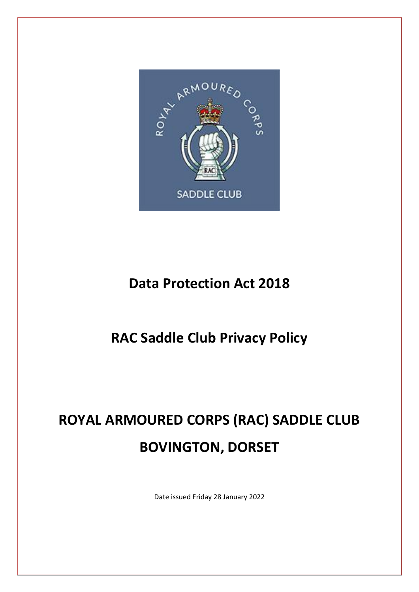

# **Data Protection Act 2018**

# **RAC Saddle Club Privacy Policy**

# **ROYAL ARMOURED CORPS (RAC) SADDLE CLUB BOVINGTON, DORSET**

Date issued Friday 28 January 2022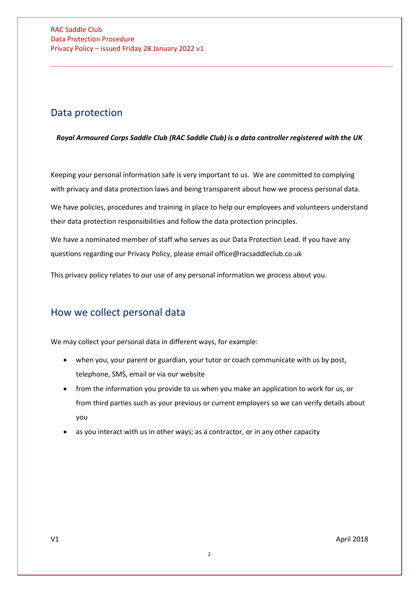### Data protection

*Royal Armoured Corps Saddle Club (RAC Saddle Club) is a data controller registered with the UK* 

Keeping your personal information safe is very important to us. We are committed to complying with privacy and data protection laws and being transparent about how we process personal data.

We have policies, procedures and training in place to help our employees and volunteers understand their data protection responsibilities and follow the data protection principles.

We have a nominated member of staff who serves as our Data Protection Lead. If you have any questions regarding our Privacy Policy, please email office@racsaddleclub.co.uk

This privacy policy relates to our use of any personal information we process about you.

### How we collect personal data

We may collect your personal data in different ways, for example:

- when you, your parent or guardian, your tutor or coach communicate with us by post, telephone, SMS, email or via our website
- from the information you provide to us when you make an application to work for us, or from third parties such as your previous or current employers so we can verify details about you
- as you interact with us in other ways; as a contractor, or in any other capacity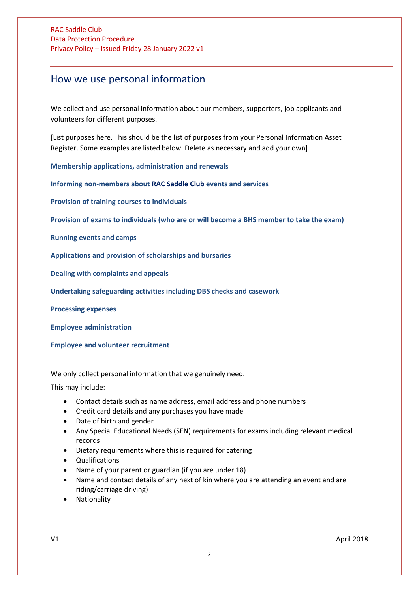### How we use personal information

We collect and use personal information about our members, supporters, job applicants and volunteers for different purposes.

[List purposes here. This should be the list of purposes from your Personal Information Asset Register. Some examples are listed below. Delete as necessary and add your own]

**[Membership applications, administration and renewals](#page-3-0)**

**[Informing non-members about RAC Saddle Club](#page-3-0) events and services**

**[Provision of training courses to individuals](#page-3-1)** 

**[Provision of exams to individuals \(who are or will become a BHS member to take the exam\)](#page-3-2)**

**[Running events and camps](#page-3-3)**

**[Applications and provision of scholarships and bursaries](#page-4-0)**

**[Dealing with complaints and appeals](#page-4-1)**

**[Undertaking safeguarding activities including DBS checks and casework](#page-4-2)**

**[Processing expenses](#page-4-3)**

**[Employee administration](#page-4-4)**

<span id="page-2-0"></span>**[Employee and volunteer recruitment](#page-2-0)**

We only collect personal information that we genuinely need.

This may include:

- Contact details such as name address, email address and phone numbers
- Credit card details and any purchases you have made
- Date of birth and gender
- Any Special Educational Needs (SEN) requirements for exams including relevant medical records
- Dietary requirements where this is required for catering
- Qualifications
- Name of your parent or guardian (if you are under 18)
- Name and contact details of any next of kin where you are attending an event and are riding/carriage driving)
- **Nationality**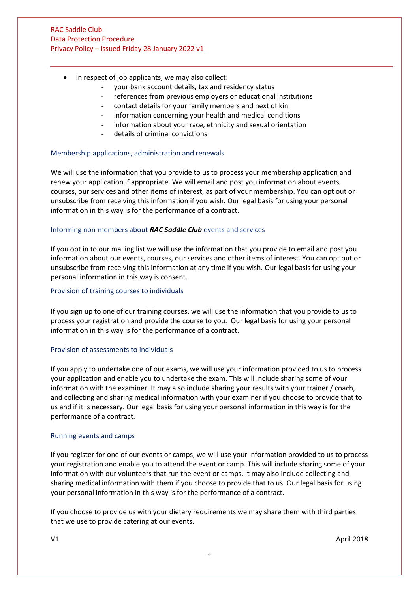- In respect of job applicants, we may also collect:
	- your bank account details, tax and residency status
	- references from previous employers or educational institutions
	- contact details for your family members and next of kin
	- information concerning your health and medical conditions
	- information about your race, ethnicity and sexual orientation
	- details of criminal convictions

#### Membership applications, administration and renewals

We will use the information that you provide to us to process your membership application and renew your application if appropriate. We will email and post you information about events, courses, our services and other items of interest, as part of your membership. You can opt out or unsubscribe from receiving this information if you wish. Our legal basis for using your personal information in this way is for the performance of a contract.

#### <span id="page-3-0"></span>Informing non-members about *RAC Saddle Club* events and services

If you opt in to our mailing list we will use the information that you provide to email and post you information about our events, courses, our services and other items of interest. You can opt out or unsubscribe from receiving this information at any time if you wish. Our legal basis for using your personal information in this way is consent.

#### <span id="page-3-1"></span>Provision of training courses to individuals

If you sign up to one of our training courses, we will use the information that you provide to us to process your registration and provide the course to you. Our legal basis for using your personal information in this way is for the performance of a contract.

#### <span id="page-3-2"></span>Provision of assessments to individuals

If you apply to undertake one of our exams, we will use your information provided to us to process your application and enable you to undertake the exam. This will include sharing some of your information with the examiner. It may also include sharing your results with your trainer / coach, and collecting and sharing medical information with your examiner if you choose to provide that to us and if it is necessary. Our legal basis for using your personal information in this way is for the performance of a contract.

#### <span id="page-3-3"></span>Running events and camps

If you register for one of our events or camps, we will use your information provided to us to process your registration and enable you to attend the event or camp. This will include sharing some of your information with our volunteers that run the event or camps. It may also include collecting and sharing medical information with them if you choose to provide that to us. Our legal basis for using your personal information in this way is for the performance of a contract.

If you choose to provide us with your dietary requirements we may share them with third parties that we use to provide catering at our events.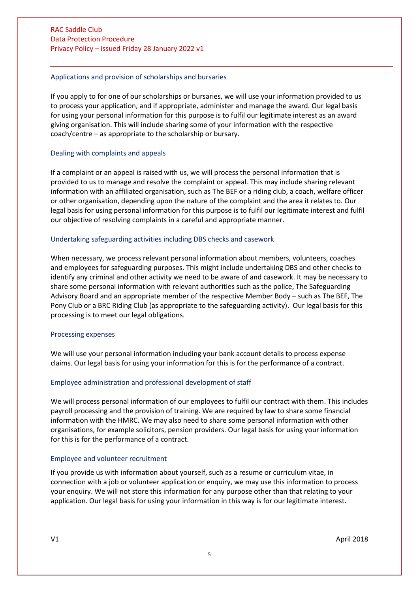#### <span id="page-4-0"></span>Applications and provision of scholarships and bursaries

If you apply to for one of our scholarships or bursaries, we will use your information provided to us to process your application, and if appropriate, administer and manage the award. Our legal basis for using your personal information for this purpose is to fulfil our legitimate interest as an award giving organisation. This will include sharing some of your information with the respective coach/centre – as appropriate to the scholarship or bursary.

#### <span id="page-4-1"></span>Dealing with complaints and appeals

If a complaint or an appeal is raised with us, we will process the personal information that is provided to us to manage and resolve the complaint or appeal. This may include sharing relevant information with an affiliated organisation, such as The BEF or a riding club, a coach, welfare officer or other organisation, depending upon the nature of the complaint and the area it relates to. Our legal basis for using personal information for this purpose is to fulfil our legitimate interest and fulfil our objective of resolving complaints in a careful and appropriate manner.

#### <span id="page-4-2"></span>Undertaking safeguarding activities including DBS checks and casework

When necessary, we process relevant personal information about members, volunteers, coaches and employees for safeguarding purposes. This might include undertaking DBS and other checks to identify any criminal and other activity we need to be aware of and casework. It may be necessary to share some personal information with relevant authorities such as the police, The Safeguarding Advisory Board and an appropriate member of the respective Member Body – such as The BEF, The Pony Club or a BRC Riding Club (as appropriate to the safeguarding activity). Our legal basis for this processing is to meet our legal obligations.

#### <span id="page-4-3"></span>Processing expenses

We will use your personal information including your bank account details to process expense claims. Our legal basis for using your information for this is for the performance of a contract.

#### <span id="page-4-4"></span>Employee administration and professional development of staff

We will process personal information of our employees to fulfil our contract with them. This includes payroll processing and the provision of training. We are required by law to share some financial information with the HMRC. We may also need to share some personal information with other organisations, for example solicitors, pension providers. Our legal basis for using your information for this is for the performance of a contract.

#### Employee and volunteer recruitment

If you provide us with information about yourself, such as a resume or curriculum vitae, in connection with a job or volunteer application or enquiry, we may use this information to process your enquiry. We will not store this information for any purpose other than that relating to your application. Our legal basis for using your information in this way is for our legitimate interest.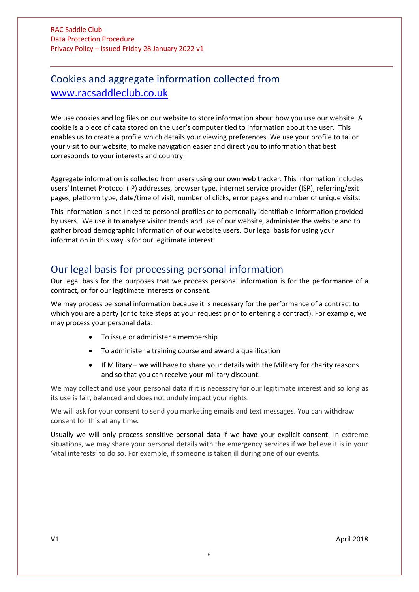### Cookies and aggregate information collected from [www.racsaddleclub.co.uk](http://www.racsaddleclub.co.uk/)

We use cookies and log files on our website to store information about how you use our website. A cookie is a piece of data stored on the user's computer tied to information about the user. This enables us to create a profile which details your viewing preferences. We use your profile to tailor your visit to our website, to make navigation easier and direct you to information that best corresponds to your interests and country.

Aggregate information is collected from users using our own web tracker. This information includes users' Internet Protocol (IP) addresses, browser type, internet service provider (ISP), referring/exit pages, platform type, date/time of visit, number of clicks, error pages and number of unique visits.

This information is not linked to personal profiles or to personally identifiable information provided by users. We use it to analyse visitor trends and use of our website, administer the website and to gather broad demographic information of our website users. Our legal basis for using your information in this way is for our legitimate interest.

### Our legal basis for processing personal information

Our legal basis for the purposes that we process personal information is for the performance of a contract, or for our legitimate interests or consent.

We may process personal information because it is necessary for the performance of a contract to which you are a party (or to take steps at your request prior to entering a contract). For example, we may process your personal data:

- To issue or administer a membership
- To administer a training course and award a qualification
- If Military we will have to share your details with the Military for charity reasons and so that you can receive your military discount.

We may collect and use your personal data if it is necessary for our legitimate interest and so long as its use is fair, balanced and does not unduly impact your rights.

We will ask for your consent to send you marketing emails and text messages. You can withdraw consent for this at any time.

Usually we will only process sensitive personal data if we have your explicit consent. In extreme situations, we may share your personal details with the emergency services if we believe it is in your 'vital interests' to do so. For example, if someone is taken ill during one of our events.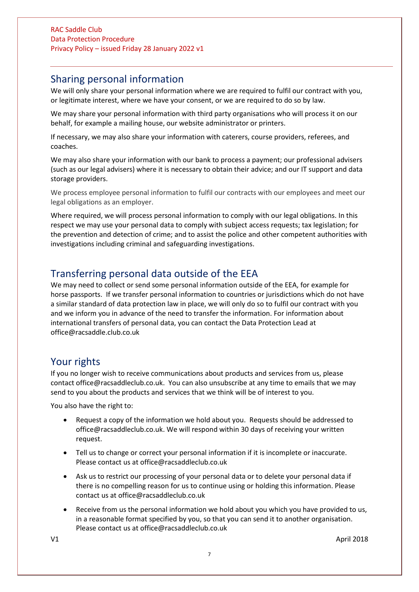### Sharing personal information

We will only share your personal information where we are required to fulfil our contract with you, or legitimate interest, where we have your consent, or we are required to do so by law.

We may share your personal information with third party organisations who will process it on our behalf, for example a mailing house, our website administrator or printers.

If necessary, we may also share your information with caterers, course providers, referees, and coaches.

We may also share your information with our bank to process a payment; our professional advisers (such as our legal advisers) where it is necessary to obtain their advice; and our IT support and data storage providers.

We process employee personal information to fulfil our contracts with our employees and meet our legal obligations as an employer.

Where required, we will process personal information to comply with our legal obligations. In this respect we may use your personal data to comply with subject access requests; tax legislation; for the prevention and detection of crime; and to assist the police and other competent authorities with investigations including criminal and safeguarding investigations.

### Transferring personal data outside of the EEA

We may need to collect or send some personal information outside of the EEA, for example for horse passports. If we transfer personal information to countries or jurisdictions which do not have a similar standard of data protection law in place, we will only do so to fulfil our contract with you and we inform you in advance of the need to transfer the information. For information about international transfers of personal data, you can contact the Data Protection Lead at office@racsaddle.club.co.uk

### Your rights

If you no longer wish to receive communications about products and services from us, please contact office@racsaddleclub.co.uk. You can also unsubscribe at any time to emails that we may send to you about the products and services that we think will be of interest to you.

You also have the right to:

- Request a copy of the information we hold about you. Requests should be addressed to office@racsaddleclub.co.uk. We will respond within 30 days of receiving your written request.
- Tell us to change or correct your personal information if it is incomplete or inaccurate. Please contact us at office@racsaddleclub.co.uk
- Ask us to restrict our processing of your personal data or to delete your personal data if there is no compelling reason for us to continue using or holding this information. Please contact us at office@racsaddleclub.co.uk
- Receive from us the personal information we hold about you which you have provided to us, in a reasonable format specified by you, so that you can send it to another organisation. Please contact us at office@racsaddleclub.co.uk